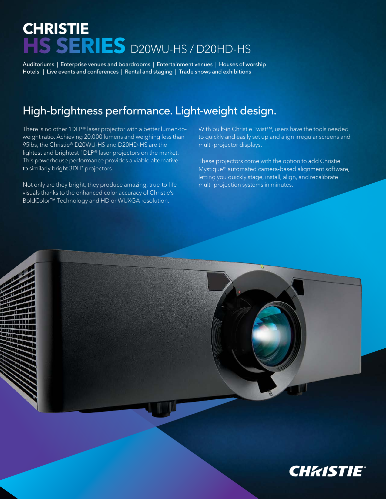## **CHRISTIE HS SERIES** D20WU-HS / D20HD-HS

Auditoriums | Enterprise venues and boardrooms | Entertainment venues | Houses of worship Hotels | Live events and conferences | Rental and staging | Trade shows and exhibitions

## High-brightness performance. Light-weight design.

There is no other 1DLP® laser projector with a better lumen-toweight ratio. Achieving 20,000 lumens and weighing less than 95lbs, the Christie® D20WU-HS and D20HD-HS are the lightest and brightest 1DLP® laser projectors on the market. This powerhouse performance provides a viable alternative to similarly bright 3DLP projectors.

Not only are they bright, they produce amazing, true-to-life visuals thanks to the enhanced color accuracy of Christie's BoldColor™ Technology and HD or WUXGA resolution.

With built-in Christie Twist™, users have the tools needed to quickly and easily set up and align irregular screens and multi-projector displays.

These projectors come with the option to add Christie Mystique® automated camera-based alignment software, letting you quickly stage, install, align, and recalibrate multi-projection systems in minutes.